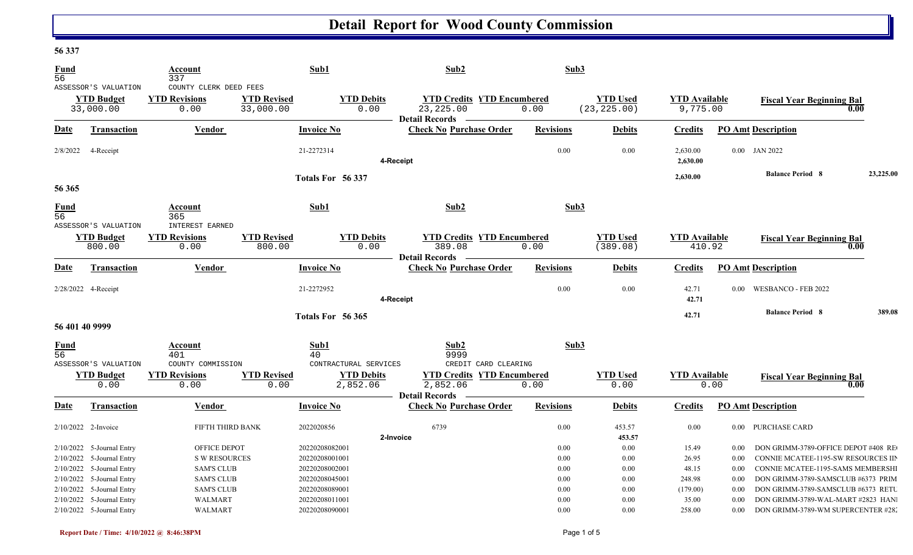### **56 337**

| Fund<br>56              | ASSESSOR'S VALUATION                                                                                               | Account<br>337<br>COUNTY CLERK DEED FEES                                       |                                 | Sub1                                                                 | Sub2                                                                                      | Sub3                         |                                 |                                   |                              |                                                                                                                                                       |           |
|-------------------------|--------------------------------------------------------------------------------------------------------------------|--------------------------------------------------------------------------------|---------------------------------|----------------------------------------------------------------------|-------------------------------------------------------------------------------------------|------------------------------|---------------------------------|-----------------------------------|------------------------------|-------------------------------------------------------------------------------------------------------------------------------------------------------|-----------|
|                         | <b>YTD Budget</b><br>33,000.00                                                                                     | <b>YTD Revisions</b><br>0.00                                                   | <b>YTD Revised</b><br>33,000.00 | <b>YTD Debits</b><br>0.00                                            | <b>YTD Credits YTD Encumbered</b><br>23, 225.00<br><b>Detail Records</b>                  | 0.00                         | <b>YTD Used</b><br>(23, 225.00) | <b>YTD Available</b><br>9,775.00  |                              | <b>Fiscal Year Beginning Bal</b>                                                                                                                      | 0.00      |
| <u>Date</u>             | <b>Transaction</b>                                                                                                 | <b>Vendor</b>                                                                  |                                 | <b>Invoice No</b>                                                    | <b>Check No Purchase Order</b>                                                            | <b>Revisions</b>             | <b>Debits</b>                   | <b>Credits</b>                    |                              | <b>PO Amt Description</b>                                                                                                                             |           |
| 2/8/2022                | 4-Receipt                                                                                                          |                                                                                |                                 | 21-2272314                                                           | 4-Receipt                                                                                 | 0.00                         | 0.00                            | 2,630.00<br>2,630.00              |                              | 0.00 JAN 2022                                                                                                                                         |           |
| 56 365                  |                                                                                                                    |                                                                                |                                 | Totals For 56 337                                                    |                                                                                           |                              |                                 | 2,630.00                          |                              | <b>Balance Period 8</b>                                                                                                                               | 23,225.00 |
| Fund<br>$\overline{56}$ | ASSESSOR'S VALUATION                                                                                               | Account<br>365<br>INTEREST EARNED                                              |                                 | Sub1                                                                 | Sub2                                                                                      | Sub3                         |                                 |                                   |                              |                                                                                                                                                       |           |
|                         | <b>YTD Budget</b><br>800.00                                                                                        | <b>YTD Revisions</b><br>0.00                                                   | <b>YTD Revised</b><br>800.00    | <b>YTD Debits</b><br>0.00                                            | <b>YTD Credits YTD Encumbered</b><br>389.08<br><b>Detail Records</b>                      | 0.00                         | <b>YTD Used</b><br>(389.08)     | <b>YTD Available</b><br>410.92    |                              | <b>Fiscal Year Beginning Bal</b>                                                                                                                      | 0.00      |
| <b>Date</b>             | <b>Transaction</b>                                                                                                 | Vendor                                                                         |                                 | <b>Invoice No</b>                                                    | <b>Check No Purchase Order</b>                                                            | <b>Revisions</b>             | <b>Debits</b>                   | <b>Credits</b>                    |                              | <b>PO Amt Description</b>                                                                                                                             |           |
|                         | 2/28/2022 4-Receipt                                                                                                |                                                                                |                                 | 21-2272952                                                           | 4-Receipt                                                                                 | 0.00                         | 0.00                            | 42.71<br>42.71                    | 0.00                         | <b>WESBANCO - FEB 2022</b>                                                                                                                            |           |
|                         | 56 401 40 9999                                                                                                     |                                                                                |                                 | Totals For 56 365                                                    |                                                                                           |                              |                                 | 42.71                             |                              | <b>Balance Period 8</b>                                                                                                                               | 389.08    |
| Fund<br>$\overline{56}$ |                                                                                                                    | Account<br>401                                                                 |                                 | Sub1<br>40                                                           | Sub2<br>9999                                                                              | Sub3                         |                                 |                                   |                              |                                                                                                                                                       |           |
|                         | ASSESSOR'S VALUATION<br><b>YTD Budget</b><br>0.00                                                                  | COUNTY COMMISSION<br><b>YTD Revisions</b><br>0.00                              | <b>YTD Revised</b><br>0.00      | CONTRACTURAL SERVICES<br><b>YTD Debits</b><br>2,852.06               | CREDIT CARD CLEARING<br><b>YTD Credits YTD Encumbered</b><br>2,852.06<br>Detail Records - | 0.00                         | <b>YTD Used</b><br>0.00         | <b>YTD</b> Available              | 0.00                         | <b>Fiscal Year Beginning Bal</b>                                                                                                                      | 0.00      |
| Date                    | <b>Transaction</b>                                                                                                 | Vendor                                                                         |                                 | <b>Invoice No</b>                                                    | <b>Check No Purchase Order</b>                                                            | <b>Revisions</b>             | <b>Debits</b>                   | <b>Credits</b>                    |                              | <b>PO Amt Description</b>                                                                                                                             |           |
|                         | $2/10/2022$ 2-Invoice                                                                                              | FIFTH THIRD BANK                                                               |                                 | 2022020856                                                           | 6739<br>2-Invoice                                                                         | 0.00                         | 453.57<br>453.57                | 0.00                              |                              | 0.00 PURCHASE CARD                                                                                                                                    |           |
|                         | 2/10/2022 5-Journal Entry<br>$2/10/2022$ 5-Journal Entry<br>2/10/2022 5-Journal Entry<br>2/10/2022 5-Journal Entry | OFFICE DEPOT<br><b>S W RESOURCES</b><br><b>SAM'S CLUB</b><br><b>SAM'S CLUB</b> |                                 | 20220208082001<br>20220208001001<br>20220208002001<br>20220208045001 |                                                                                           | 0.00<br>0.00<br>0.00<br>0.00 | 0.00<br>0.00<br>0.00<br>0.00    | 15.49<br>26.95<br>48.15<br>248.98 | 0.00<br>0.00<br>0.00<br>0.00 | DON GRIMM-3789-OFFICE DEPOT #408 RE<br>CONNIE MCATEE-1195-SW RESOURCES IIP<br>CONNIE MCATEE-1195-SAMS MEMBERSHI<br>DON GRIMM-3789-SAMSCLUB #6373 PRIM |           |
|                         | 2/10/2022 5-Journal Entry<br>2/10/2022 5-Journal Entry<br>2/10/2022 5-Journal Entry                                | <b>SAM'S CLUB</b><br><b>WALMART</b><br><b>WALMART</b>                          |                                 | 20220208089001<br>20220208011001<br>20220208090001                   |                                                                                           | 0.00<br>0.00<br>0.00         | 0.00<br>0.00<br>0.00            | (179.00)<br>35.00<br>258.00       | 0.00<br>0.00<br>$0.00\,$     | DON GRIMM-3789-SAMSCLUB #6373 RETU<br>DON GRIMM-3789-WAL-MART #2823 HAN<br>DON GRIMM-3789-WM SUPERCENTER #28.                                         |           |

C

N

l.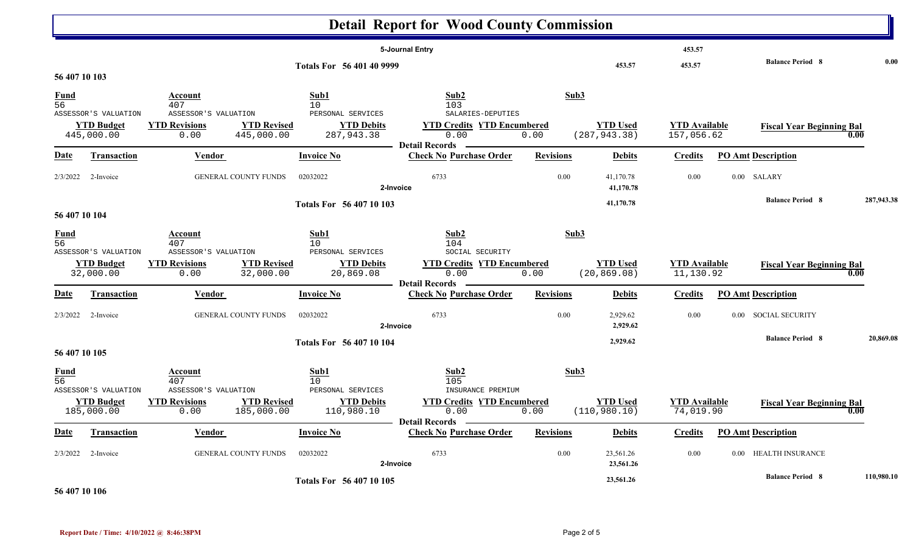|                                    |                                                         |                                                                                                 |                                                                         | <b>Detail Report for Wood County Commission</b>                                                |                  |                                  |                                    |                                    |            |
|------------------------------------|---------------------------------------------------------|-------------------------------------------------------------------------------------------------|-------------------------------------------------------------------------|------------------------------------------------------------------------------------------------|------------------|----------------------------------|------------------------------------|------------------------------------|------------|
|                                    |                                                         |                                                                                                 | Totals For 56 401 40 9999                                               | 5-Journal Entry                                                                                |                  | 453.57                           | 453.57<br>453.57                   | <b>Balance Period 8</b>            | 0.00       |
| 56 407 10 103                      |                                                         | <b>Account</b>                                                                                  | Sub1                                                                    | Sub2                                                                                           | Sub3             |                                  |                                    |                                    |            |
| $\frac{Fund}{56}$                  | ASSESSOR'S VALUATION<br><b>YTD Budget</b><br>445,000.00 | 407<br>ASSESSOR'S VALUATION<br><b>YTD Revisions</b><br><b>YTD Revised</b><br>445,000.00<br>0.00 | 10 <sup>°</sup><br>PERSONAL SERVICES<br><b>YTD Debits</b><br>287,943.38 | 103<br>SALARIES-DEPUTIES<br><b>YTD Credits YTD Encumbered</b><br>0.00<br><b>Detail Records</b> | 0.00             | <b>YTD Used</b><br>(287, 943.38) | <b>YTD Available</b><br>157,056.62 | <b>Fiscal Year Beginning Bal</b>   | 0.00       |
| <b>Date</b>                        | <b>Transaction</b>                                      | <b>Vendor</b>                                                                                   | <b>Invoice No</b>                                                       | <b>Check No Purchase Order</b>                                                                 | <b>Revisions</b> | <b>Debits</b>                    | <b>Credits</b>                     | <b>PO Amt Description</b>          |            |
| 2/3/2022                           | 2-Invoice                                               | <b>GENERAL COUNTY FUNDS</b>                                                                     | 02032022                                                                | 6733<br>2-Invoice                                                                              | 0.00             | 41,170.78<br>41,170.78           | 0.00                               | 0.00 SALARY                        |            |
|                                    |                                                         |                                                                                                 | Totals For 56 407 10 103                                                |                                                                                                |                  | 41,170.78                        |                                    | <b>Balance Period 8</b>            | 287,943.38 |
| 56 407 10 104<br>$\frac{Fund}{56}$ | ASSESSOR'S VALUATION                                    | Account<br>407<br>ASSESSOR'S VALUATION                                                          | Sub1<br>10<br>PERSONAL SERVICES                                         | Sub2<br>104<br>SOCIAL SECURITY                                                                 | Sub3             |                                  |                                    |                                    |            |
|                                    | <b>YTD Budget</b><br>32,000.00                          | <b>YTD Revised</b><br><b>YTD Revisions</b><br>32,000.00<br>0.00                                 | <b>YTD Debits</b><br>20,869.08                                          | <b>YTD Credits YTD Encumbered</b><br>0.00<br><b>Detail Records</b>                             | 0.00             | <b>YTD Used</b><br>(20, 869.08)  | <b>YTD Available</b><br>11,130.92  | <b>Fiscal Year Beginning Bal</b>   | 0.00       |
| <u>Date</u>                        | <b>Transaction</b>                                      | <b>Vendor</b>                                                                                   | <b>Invoice No</b>                                                       | <b>Check No Purchase Order</b>                                                                 | <b>Revisions</b> | <b>Debits</b>                    | <b>Credits</b>                     | <b>PO Amt Description</b>          |            |
| 2/3/2022                           | 2-Invoice                                               | GENERAL COUNTY FUNDS                                                                            | 02032022                                                                | 6733<br>2-Invoice                                                                              | 0.00             | 2,929.62<br>2,929.62             | 0.00                               | <b>SOCIAL SECURITY</b><br>$0.00\,$ |            |
| 56 407 10 105                      |                                                         |                                                                                                 | <b>Totals For 56 407 10 104</b>                                         |                                                                                                |                  | 2,929.62                         |                                    | <b>Balance Period 8</b>            | 20,869.08  |
| <b>Fund</b><br>$\overline{56}$     |                                                         | Account<br>407<br>ASSESSOR'S VALUATION                                                          | Sub1<br>10<br>PERSONAL SERVICES                                         | Sub2<br>105<br>INSURANCE PREMIUM                                                               | Sub3             |                                  |                                    |                                    |            |
|                                    | ASSESSOR'S VALUATION<br><b>YTD Budget</b><br>185,000.00 | <b>YTD Revisions</b><br><b>YTD Revised</b><br>185,000.00<br>0.00                                | <b>YTD Debits</b><br>110,980.10                                         | <b>YTD Credits YTD Encumbered</b><br>0.00<br>Detail Records _______                            | 0.00             | <b>YTD</b> Used<br>(110, 980.10) | <b>YTD Available</b><br>74,019.90  | <b>Fiscal Year Beginning Bal</b>   | 0.00       |
| <b>Date</b>                        | Transaction                                             | Vendor                                                                                          | <b>Invoice No</b>                                                       | <b>Check No Purchase Order</b>                                                                 | <b>Revisions</b> | <b>Debits</b>                    | <b>Credits</b>                     | <b>PO Amt Description</b>          |            |
| 2/3/2022                           | 2-Invoice                                               | GENERAL COUNTY FUNDS                                                                            | 02032022                                                                | 6733<br>2-Invoice                                                                              | $0.00\,$         | 23,561.26<br>23,561.26           | $0.00\,$                           | 0.00 HEALTH INSURANCE              |            |
|                                    |                                                         |                                                                                                 | Totals For 56 407 10 105                                                |                                                                                                |                  | 23,561.26                        |                                    | <b>Balance Period 8</b>            | 110,980.10 |

**56 407 10 106**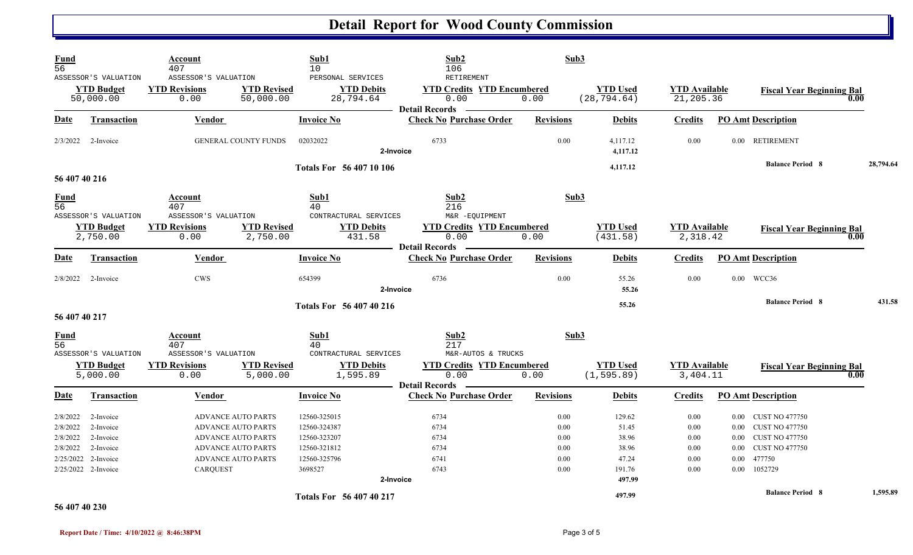| <b>Fund</b><br>56                               | ASSESSOR'S VALUATION<br><b>YTD Budget</b><br>50,000.00                                         | Account<br>407<br>ASSESSOR'S VALUATION<br><b>YTD Revisions</b><br>0.00 | <b>YTD Revised</b><br>50,000.00                                                                                                               | Sub1<br>10<br>PERSONAL SERVICES<br><b>YTD Debits</b><br>28,794.64                       | Sub2<br>106<br>RETIREMENT<br><b>YTD Credits YTD Encumbered</b><br>0.00     | Sub3<br>0.00                                 | <b>YTD Used</b><br>(28, 794.64)                                | <b>YTD Available</b><br>21,205.36            |                                                                | <b>Fiscal Year Beginning Bal</b>                                                                            | 0.00      |
|-------------------------------------------------|------------------------------------------------------------------------------------------------|------------------------------------------------------------------------|-----------------------------------------------------------------------------------------------------------------------------------------------|-----------------------------------------------------------------------------------------|----------------------------------------------------------------------------|----------------------------------------------|----------------------------------------------------------------|----------------------------------------------|----------------------------------------------------------------|-------------------------------------------------------------------------------------------------------------|-----------|
| <b>Date</b>                                     | <b>Transaction</b>                                                                             | <b>Vendor</b>                                                          |                                                                                                                                               | <b>Invoice No</b>                                                                       | <b>Detail Records</b><br><b>Check No Purchase Order</b>                    | <b>Revisions</b>                             | <b>Debits</b>                                                  | <b>Credits</b>                               | <b>PO Amt Description</b>                                      |                                                                                                             |           |
| 2/3/2022                                        | 2-Invoice                                                                                      |                                                                        | GENERAL COUNTY FUNDS                                                                                                                          | 02032022                                                                                | 6733<br>2-Invoice                                                          | 0.00                                         | 4,117.12<br>4,117.12                                           | 0.00                                         |                                                                | 0.00 RETIREMENT                                                                                             |           |
|                                                 |                                                                                                |                                                                        |                                                                                                                                               | Totals For 56 407 10 106                                                                |                                                                            |                                              | 4,117.12                                                       |                                              |                                                                | <b>Balance Period 8</b>                                                                                     | 28,794.64 |
| 56 407 40 216<br><b>Fund</b><br>$\overline{56}$ | ASSESSOR'S VALUATION<br><b>YTD Budget</b><br>2,750.00                                          | Account<br>407<br>ASSESSOR'S VALUATION<br><b>YTD Revisions</b><br>0.00 | <b>YTD Revised</b><br>2,750.00                                                                                                                | Sub1<br>40<br>CONTRACTURAL SERVICES<br><b>YTD Debits</b><br>431.58                      | Sub2<br>216<br>M&R -EQUIPMENT<br><b>YTD Credits YTD Encumbered</b><br>0.00 | Sub3<br>0.00                                 | <b>YTD Used</b><br>(431.58)                                    | <b>YTD Available</b><br>2,318.42             |                                                                | <b>Fiscal Year Beginning Bal</b>                                                                            | 0.00      |
| <b>Date</b>                                     | <b>Transaction</b>                                                                             | Vendor                                                                 |                                                                                                                                               | <b>Invoice No</b>                                                                       | <b>Detail Records</b><br><b>Check No Purchase Order</b>                    | <b>Revisions</b>                             | <b>Debits</b>                                                  | <b>Credits</b>                               | <b>PO Amt Description</b>                                      |                                                                                                             |           |
|                                                 | $2/8/2022$ 2-Invoice                                                                           | <b>CWS</b>                                                             |                                                                                                                                               | 654399                                                                                  | 6736<br>2-Invoice                                                          | 0.00                                         | 55.26<br>55.26                                                 | 0.00                                         | 0.00 WCC36                                                     |                                                                                                             |           |
| 56 407 40 217                                   |                                                                                                |                                                                        |                                                                                                                                               | <b>Totals For 56 407 40 216</b>                                                         |                                                                            |                                              | 55.26                                                          |                                              |                                                                | <b>Balance Period 8</b>                                                                                     | 431.58    |
| Fund<br>$\overline{56}$                         | ASSESSOR'S VALUATION<br><b>YTD Budget</b>                                                      | Account<br>407<br>ASSESSOR'S VALUATION<br><b>YTD Revisions</b>         | <b>YTD Revised</b>                                                                                                                            | Sub1<br>40<br>CONTRACTURAL SERVICES<br><b>YTD Debits</b>                                | Sub2<br>217<br>M&R-AUTOS & TRUCKS<br><b>YTD Credits YTD Encumbered</b>     | Sub3                                         | <b>YTD</b> Used                                                | <b>YTD Available</b>                         |                                                                | <b>Fiscal Year Beginning Bal</b>                                                                            |           |
|                                                 | 5,000.00                                                                                       | 0.00                                                                   | 5,000.00                                                                                                                                      | 1,595.89                                                                                | 0.00<br><b>Detail Records</b>                                              | 0.00                                         | (1, 595.89)                                                    | 3,404.11                                     |                                                                |                                                                                                             | 0.00      |
| <b>Date</b>                                     | <b>Transaction</b>                                                                             | Vendor                                                                 |                                                                                                                                               | <b>Invoice No</b>                                                                       | <b>Check No Purchase Order</b>                                             | <b>Revisions</b>                             | <b>Debits</b>                                                  | <b>Credits</b>                               | <b>PO Amt Description</b>                                      |                                                                                                             |           |
| 2/8/2022<br>2/8/2022<br>2/8/2022<br>2/8/2022    | 2-Invoice<br>2-Invoice<br>2-Invoice<br>2-Invoice<br>2/25/2022 2-Invoice<br>2/25/2022 2-Invoice | <b>CARQUEST</b>                                                        | <b>ADVANCE AUTO PARTS</b><br><b>ADVANCE AUTO PARTS</b><br><b>ADVANCE AUTO PARTS</b><br><b>ADVANCE AUTO PARTS</b><br><b>ADVANCE AUTO PARTS</b> | 12560-325015<br>12560-324387<br>12560-323207<br>12560-321812<br>12560-325796<br>3698527 | 6734<br>6734<br>6734<br>6734<br>6741<br>6743<br>2-Invoice                  | 0.00<br>0.00<br>0.00<br>0.00<br>0.00<br>0.00 | 129.62<br>51.45<br>38.96<br>38.96<br>47.24<br>191.76<br>497.99 | 0.00<br>0.00<br>0.00<br>0.00<br>0.00<br>0.00 | $0.00\,$<br>$0.00\,$<br>0.00<br>0.00<br>477750<br>0.00<br>0.00 | <b>CUST NO 477750</b><br><b>CUST NO 477750</b><br><b>CUST NO 477750</b><br><b>CUST NO 477750</b><br>1052729 |           |
| 56 407 40 230                                   |                                                                                                |                                                                        |                                                                                                                                               | Totals For 56 407 40 217                                                                |                                                                            |                                              | 497.99                                                         |                                              |                                                                | <b>Balance Period 8</b>                                                                                     | 1,595.89  |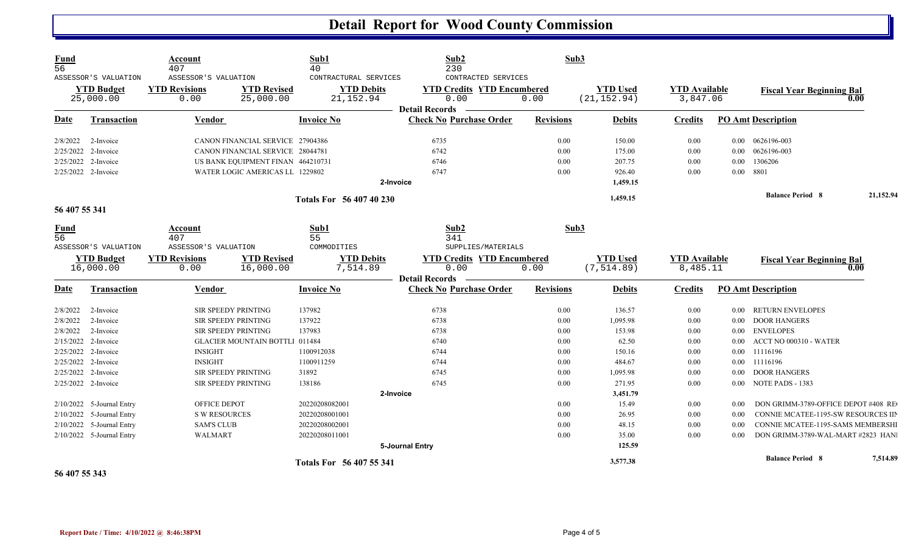| $\frac{Fund}{56}$ | ASSESSOR'S VALUATION<br><b>YTD Budget</b><br>25,000.00 | Account<br>407<br>ASSESSOR'S VALUATION<br><b>YTD Revisions</b><br>0.00 | <b>YTD Revised</b><br>25,000.00       | Sub1<br>40<br>CONTRACTURAL SERVICES<br><b>YTD Debits</b><br>21, 152.94 | Sub2<br>230<br>CONTRACTED SERVICES<br><b>YTD Credits YTD Encumbered</b><br>0.00 | Sub3<br>0.00     | <b>YTD Used</b><br>(21, 152.94) | <b>YTD Available</b><br>3,847.06 |          | <b>Fiscal Year Beginning Bal</b>    | 0.00      |
|-------------------|--------------------------------------------------------|------------------------------------------------------------------------|---------------------------------------|------------------------------------------------------------------------|---------------------------------------------------------------------------------|------------------|---------------------------------|----------------------------------|----------|-------------------------------------|-----------|
| <b>Date</b>       | <b>Transaction</b>                                     | <b>Vendor</b>                                                          |                                       | <b>Invoice No</b>                                                      | <b>Detail Records</b><br><b>Check No Purchase Order</b>                         | <b>Revisions</b> | <b>Debits</b>                   | <b>Credits</b>                   |          | <b>PO Amt Description</b>           |           |
| 2/8/2022          | 2-Invoice                                              |                                                                        | CANON FINANCIAL SERVICE 27904386      |                                                                        | 6735                                                                            | 0.00             | 150.00                          | 0.00                             |          | 0.00  0626196-003                   |           |
| 2/25/2022         | 2-Invoice                                              |                                                                        | CANON FINANCIAL SERVICE 28044781      |                                                                        | 6742                                                                            | $0.00\,$         | 175.00                          | $0.00\,$                         | $0.00\,$ | 0626196-003                         |           |
| 2/25/2022         | 2-Invoice                                              |                                                                        | US BANK EQUIPMENT FINAN 464210731     |                                                                        | 6746                                                                            | 0.00             | 207.75                          | $0.00\,$                         | $0.00\,$ | 1306206                             |           |
|                   | 2/25/2022 2-Invoice                                    |                                                                        | WATER LOGIC AMERICAS LL 1229802       |                                                                        | 6747                                                                            | 0.00             | 926.40                          | $0.00\,$                         | $0.00\,$ | 8801                                |           |
|                   |                                                        |                                                                        |                                       |                                                                        | 2-Invoice                                                                       |                  | 1,459.15                        |                                  |          |                                     |           |
| 56 407 55 341     |                                                        |                                                                        |                                       | Totals For 56 407 40 230                                               |                                                                                 |                  | 1,459.15                        |                                  |          | <b>Balance Period 8</b>             | 21,152.94 |
|                   |                                                        |                                                                        |                                       |                                                                        |                                                                                 |                  |                                 |                                  |          |                                     |           |
| <u>Fund</u>       |                                                        | Account                                                                |                                       | Sub1                                                                   | Sub2                                                                            | Sub3             |                                 |                                  |          |                                     |           |
| $\overline{56}$   |                                                        | 407                                                                    |                                       | 55                                                                     | 341                                                                             |                  |                                 |                                  |          |                                     |           |
|                   | ASSESSOR'S VALUATION                                   | ASSESSOR'S VALUATION                                                   |                                       | COMMODITIES                                                            | SUPPLIES/MATERIALS                                                              |                  |                                 |                                  |          |                                     |           |
|                   | <b>YTD Budget</b>                                      | <b>YTD Revisions</b>                                                   | <b>YTD Revised</b>                    | <b>YTD Debits</b>                                                      | <b>YTD Credits YTD Encumbered</b>                                               |                  | <b>YTD</b> Used                 | <b>YTD</b> Available             |          | <b>Fiscal Year Beginning Bal</b>    |           |
|                   | 16,000.00                                              | 0.00                                                                   | 16,000.00                             | 7,514.89                                                               | 0.00                                                                            | 0.00             | (7, 514.89)                     | 8,485.11                         |          |                                     | 0.00      |
|                   |                                                        |                                                                        |                                       |                                                                        | <b>Detail Records</b>                                                           |                  |                                 |                                  |          |                                     |           |
| <b>Date</b>       | <b>Transaction</b>                                     | Vendor                                                                 |                                       | <b>Invoice No</b>                                                      | <b>Check No Purchase Order</b>                                                  | <b>Revisions</b> | <b>Debits</b>                   | <b>Credits</b>                   |          | <b>PO Amt Description</b>           |           |
| 2/8/2022          | 2-Invoice                                              | <b>SIR SPEEDY PRINTING</b>                                             |                                       | 137982                                                                 | 6738                                                                            | 0.00             | 136.57                          | 0.00                             | 0.00     | <b>RETURN ENVELOPES</b>             |           |
| 2/8/2022          | 2-Invoice                                              | <b>SIR SPEEDY PRINTING</b>                                             |                                       | 137922                                                                 | 6738                                                                            | 0.00             | 1,095.98                        | 0.00                             | $0.00\,$ | <b>DOOR HANGERS</b>                 |           |
| 2/8/2022          | 2-Invoice                                              | SIR SPEEDY PRINTING                                                    |                                       | 137983                                                                 | 6738                                                                            | 0.00             | 153.98                          | 0.00                             | $0.00\,$ | <b>ENVELOPES</b>                    |           |
| 2/15/2022         | 2-Invoice                                              |                                                                        | <b>GLACIER MOUNTAIN BOTTLI 011484</b> |                                                                        | 6740                                                                            | 0.00             | 62.50                           | 0.00                             | 0.00     | ACCT NO 000310 - WATER              |           |
| 2/25/2022         | 2-Invoice                                              | <b>INSIGHT</b>                                                         |                                       | 1100912038                                                             | 6744                                                                            | 0.00             | 150.16                          | 0.00                             | $0.00\,$ | 11116196                            |           |
| 2/25/2022         | 2-Invoice                                              | <b>INSIGHT</b>                                                         |                                       | 1100911259                                                             | 6744                                                                            | 0.00             | 484.67                          | 0.00                             | $0.00\,$ | 11116196                            |           |
|                   | 2/25/2022 2-Invoice                                    | <b>SIR SPEEDY PRINTING</b>                                             |                                       | 31892                                                                  | 6745                                                                            | 0.00             | 1,095.98                        | 0.00                             | 0.00     | <b>DOOR HANGERS</b>                 |           |
|                   | 2/25/2022 2-Invoice                                    | SIR SPEEDY PRINTING                                                    |                                       | 138186                                                                 | 6745                                                                            | 0.00             | 271.95                          | 0.00                             | $0.00\,$ | NOTE PADS - 1383                    |           |
|                   |                                                        |                                                                        |                                       |                                                                        | 2-Invoice                                                                       |                  | 3,451.79                        |                                  |          |                                     |           |
|                   | 2/10/2022 5-Journal Entry                              | OFFICE DEPOT                                                           |                                       | 20220208082001                                                         |                                                                                 | 0.00             | 15.49                           | 0.00                             | 0.00     | DON GRIMM-3789-OFFICE DEPOT #408 RE |           |
| 2/10/2022         | 5-Journal Entry                                        | <b>S W RESOURCES</b>                                                   |                                       | 20220208001001                                                         |                                                                                 | 0.00             | 26.95                           | $0.00\,$                         | 0.00     | CONNIE MCATEE-1195-SW RESOURCES III |           |
| 2/10/2022         | 5-Journal Entry                                        | <b>SAM'S CLUB</b>                                                      |                                       | 20220208002001                                                         |                                                                                 | 0.00             | 48.15                           | 0.00                             | 0.00     | CONNIE MCATEE-1195-SAMS MEMBERSHI   |           |
|                   | 2/10/2022 5-Journal Entry                              | <b>WALMART</b>                                                         |                                       | 20220208011001                                                         |                                                                                 | 0.00             | 35.00                           | 0.00                             | 0.00     | DON GRIMM-3789-WAL-MART #2823 HAN   |           |
|                   |                                                        |                                                                        |                                       |                                                                        | 5-Journal Entry                                                                 |                  | 125.59                          |                                  |          |                                     |           |
|                   |                                                        |                                                                        |                                       | <b>Totals For 56 407 55 341</b>                                        |                                                                                 |                  | 3,577.38                        |                                  |          | <b>Balance Period 8</b>             | 7,514.89  |

**56 407 55 343**